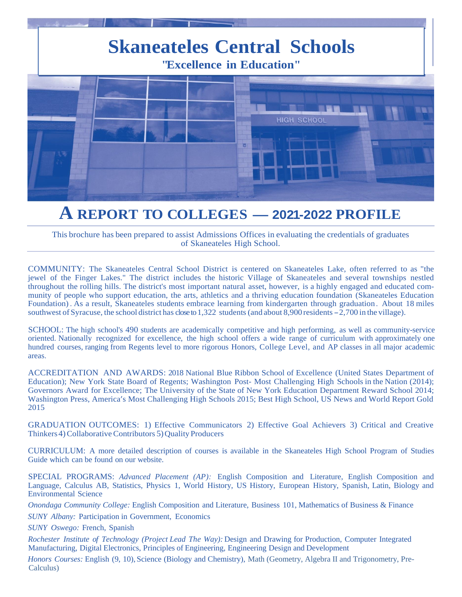

# **<sup>A</sup> REPORT TO COLLEGES -2021-2022 PROFILE**

This brochure has been prepared to assist Admissions Offices in evaluating the credentials of graduates of Skaneateles High School.

COMMUNITY: The Skaneateles Central School District is centered on Skaneateles Lake, often referred to as "the jewel of the Finger Lakes." The district includes the historic Village of Skaneateles and several townships nestled throughout the rolling hills. The district's most important natural asset, however, is a highly engaged and educated community of people who support education, the arts, athletics and a thriving education foundation (Skaneateles Education Foundation). As a result, Skaneateles students embrace learning from kindergarten through graduation. About 18 miles southwest of Syracuse, the school district has close to 1,322 students (and about 8,900 residents  $-2,700$  in the village).

SCHOOL: The high school's 490 students are academically competitive and high performing, as well as community-service oriented. Nationally recognized for excellence, the high school offers a wide range of curriculum with approximately one hundred courses, ranging from Regents level to more rigorous Honors, College Level, and AP classes in all major academic areas.

ACCREDITATION AND AWARDS: 2018 National Blue Ribbon School of Excellence (United States Department of Education); New York State Board of Regents; Washington Post- Most Challenging High Schools in the Nation (2014); Governors Award for Excellence; The University of the State of New York Education Department Reward School 2014; Washington Press, America's Most Challenging High Schools 2015; Best High School, US News and World Report Gold 2015

GRADUATION OUTCOMES: 1) Effective Communicators 2) Effective Goal Achievers 3) Critical and Creative Thinkers 4) Collaborative Contributors 5) Quality Producers

CURRICULUM: A more detailed description of courses is available in the Skaneateles High School Program of Studies Guide which can be found on our website.

SPECIAL PROGRAMS: *Advanced Placement (AP):* English Composition and Literature, English Composition and Language, Calculus AB, Statistics, Physics 1, World History, US History, European History, Spanish, Latin, Biology and Environmental Science

*Onondaga Community College:* English Composition and Literature, Business 101, Mathematics of Business & Finance

*SUNY Albany:* Participation in Government, Economics

*SUNY Oswego:* French, Spanish

*Rochester Institute of Technology (Project Lead The Way):* Design and Drawing for Production, Computer Integrated Manufacturing, Digital Electronics, Principles of Engineering, Engineering Design and Development

*Honors Courses:* English (9, 10), Science (Biology and Chemistry), Math (Geometry, Algebra II and Trigonometry, Pre-Calculus)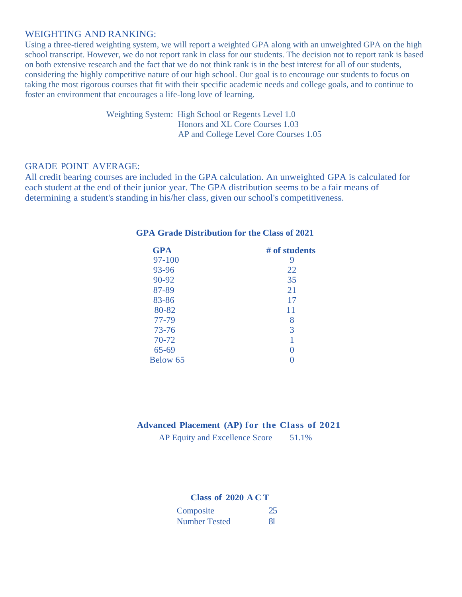## WEIGHTING AND RANKING:

Using a three-tiered weighting system, we will report a weighted GPA along with an unweighted GPA on the high school transcript. However, we do not report rank in class for our students. The decision not to report rank is based on both extensive research and the fact that we do not think rank is in the best interest for all of our students, considering the highly competitive nature of our high school. Our goal is to encourage our students to focus on taking the most rigorous courses that fit with their specific academic needs and college goals, and to continue to foster an environment that encourages a life-long love of learning.

> Weighting System: High School or Regents Level 1.0 Honors and XL Core Courses 1.03 AP and College Level Core Courses 1.05

#### GRADE POINT AVERAGE:

All credit bearing courses are included in the GPA calculation. An unweighted GPA is calculated for each student at the end of their junior year. The GPA distribution seems to be a fair means of determining a student's standing in his/her class, given our school's competitiveness.

| <b>GPA</b> | # of students |  |  |
|------------|---------------|--|--|
| 97-100     | 9             |  |  |
| 93-96      | 22            |  |  |
| 90-92      | 35            |  |  |
| 87-89      | 21            |  |  |
| 83-86      | 17            |  |  |
| 80-82      | 11            |  |  |
| 77-79      | 8             |  |  |
| $73 - 76$  | 3             |  |  |
| 70-72      |               |  |  |
| $65 - 69$  | 0             |  |  |
| Below 65   |               |  |  |

## **GPA Grade Distribution for the Class of 2021**

### **Advanced Placement (AP) for the Class of 2021**

AP Equity and Excellence Score 51.1%

### **Class of 2020 ACT**

| Composite            |  |
|----------------------|--|
| <b>Number Tested</b> |  |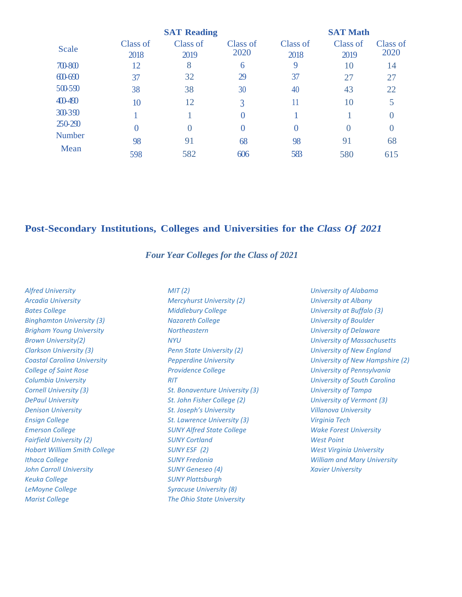|               | <b>SAT Reading</b> |                  |                  | <b>SAT Math</b>  |                  |                  |
|---------------|--------------------|------------------|------------------|------------------|------------------|------------------|
| Scale         | Class of<br>2018   | Class of<br>2019 | Class of<br>2020 | Class of<br>2018 | Class of<br>2019 | Class of<br>2020 |
| 700-800       | 12                 | 8                | 6                | 9                | 10               | 14               |
| $60-690$      | 37                 | 32               | 29               | 37               | 27               | 27               |
| 500-590       | 38                 | 38               | 30               | 40               | 43               | 22               |
| 400-490       | 10                 | 12               | 3                |                  | 10               |                  |
| 300-390       |                    |                  | 0                |                  |                  |                  |
| 250-290       | 0                  | $\left( \right)$ | $\overline{0}$   | $\Omega$         | $\theta$         |                  |
| <b>Number</b> | 98                 | 91               | 68               | 98               | 91               | 68               |
| Mean          | 598                | 582              | 606              | 583              | 580              | 615              |

# **Post-Secondary Institutions, Colleges and Universities for the** *Class Of 2021*

#### *Four Year Colleges for the Class of 2021*

*Alfred University Arcadia University Bates College Binghamton University (3) Brigham Young University Brown University(2) Clarkson University (3) Coastal Carolina University College of Saint Rose Columbia University Cornell University (3) DePaul University Denison University Ensign College Emerson College Fairfield University (2) Hobart William Smith College Ithaca College John Carroll University Keuka College LeMoyne College Marist College*

*MIT (2) Mercyhurst University (2) Middlebury College Nazareth College Northeastern NYU Penn State University (2) Pepperdine University Providence College RIT St. Bonaventure University (3) St. John Fisher College (2) St. Joseph's University St. Lawrence University (3) SUNY Alfred State College SUNY Cortland SUNY ESF (2) SUNY Fredonia SUNY Geneseo (4) SUNY Plattsburgh Syracuse University (8) The Ohio State University*

*University of Alabama University at Albany University at Buffalo (3) University of Boulder University of Delaware University of Massachusetts University of New England University of New Hampshire (2) University of Pennsylvania University of South Carolina University of Tampa University of Vermont (3) Villanova University Virginia Tech Wake Forest University West Point West Virginia University William and Mary University Xavier University*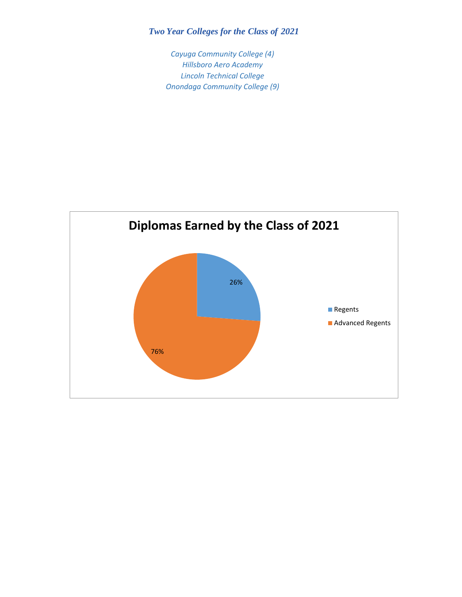# *Two Year Colleges for the Class of 2021*

*Cayuga Community College (4) Hillsboro Aero Academy Lincoln Technical College Onondaga Community College (9)*